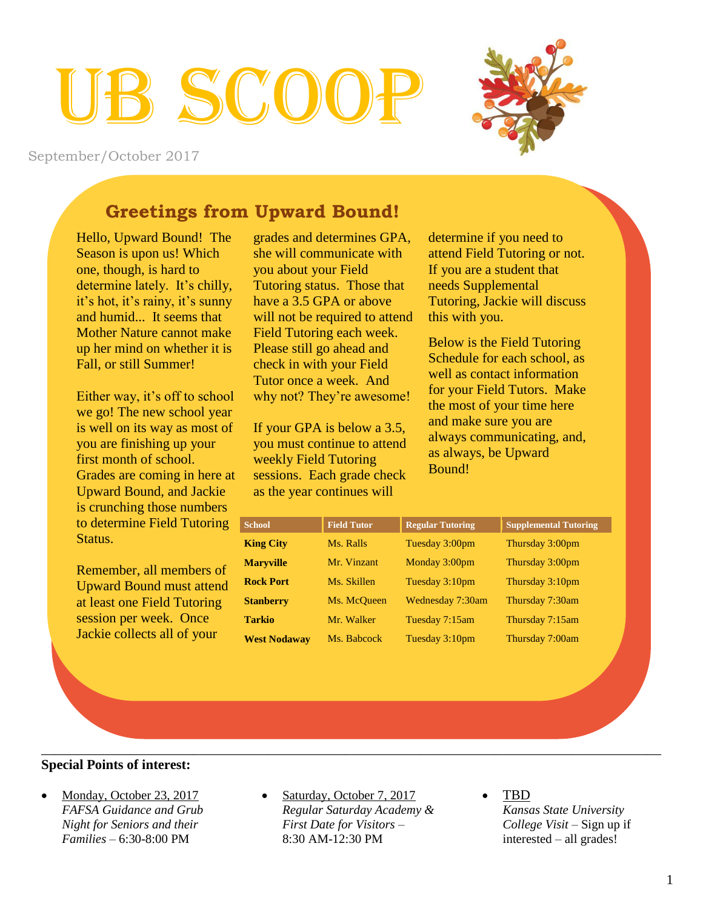# $S(\gamma_0)$



September/October 2017

# **Greetings from Upward Bound!**

Hello, Upward Bound! The Season is upon us! Which one, though, is hard to determine lately. It's chilly, it's hot, it's rainy, it's sunny and humid... It seems that Mother Nature cannot make up her mind on whether it is Fall, or still Summer!

Either way, it's off to school we go! The new school year is well on its way as most of you are finishing up your first month of school. Grades are coming in here at Upward Bound, and Jackie is crunching those numbers to determine Field Tutoring Status.

Remember, all members of Upward Bound must attend at least one Field Tutoring session per week. Once Jackie collects all of your

grades and determines GPA, she will communicate with you about your Field Tutoring status. Those that have a 3.5 GPA or above will not be required to attend Field Tutoring each week. Please still go ahead and check in with your Field Tutor once a week. And why not? They're awesome!

If your GPA is below a 3.5, you must continue to attend weekly Field Tutoring sessions. Each grade check as the year continues will

determine if you need to attend Field Tutoring or not. If you are a student that needs Supplemental Tutoring, Jackie will discuss this with you.

Below is the Field Tutoring Schedule for each school, as well as contact information for your Field Tutors. Make the most of your time here and make sure you are always communicating, and, as always, be Upward Bound!

| <b>School</b>       | <b>Field Tutor</b> | <b>Regular Tutoring</b> | <b>Supplemental Tutoring</b> |
|---------------------|--------------------|-------------------------|------------------------------|
| <b>King City</b>    | Ms. Ralls          | Tuesday 3:00pm          | Thursday 3:00pm              |
| <b>Maryville</b>    | Mr. Vinzant        | Monday 3:00pm           | Thursday 3:00pm              |
| <b>Rock Port</b>    | Ms. Skillen        | Tuesday 3:10pm          | Thursday 3:10pm              |
| <b>Stanberry</b>    | Ms. McQueen        | Wednesday 7:30am        | Thursday 7:30am              |
| <b>Tarkio</b>       | Mr. Walker         | Tuesday 7:15am          | Thursday 7:15am              |
| <b>West Nodaway</b> | Ms. Babcock        | Tuesday 3:10pm          | Thursday 7:00am              |

## **Special Points of interest:**

- Monday, October 23, 2017 *FAFSA Guidance and Grub Night for Seniors and their Families –* 6:30-8:00 PM
- Saturday, October 7, 2017 *Regular Saturday Academy & First Date for Visitors –*  8:30 AM-12:30 PM

\_\_\_\_\_\_\_\_\_\_\_\_\_\_\_\_\_\_\_\_\_\_\_\_\_\_\_\_\_\_\_\_\_\_\_\_\_\_\_\_\_\_\_\_\_\_\_\_\_\_\_\_\_\_\_\_\_\_\_\_\_\_\_\_\_\_\_\_\_\_\_\_\_\_\_\_\_\_\_\_\_\_\_\_\_\_\_\_\_\_

 TBD *Kansas State University College Visit –* Sign up if interested – all grades!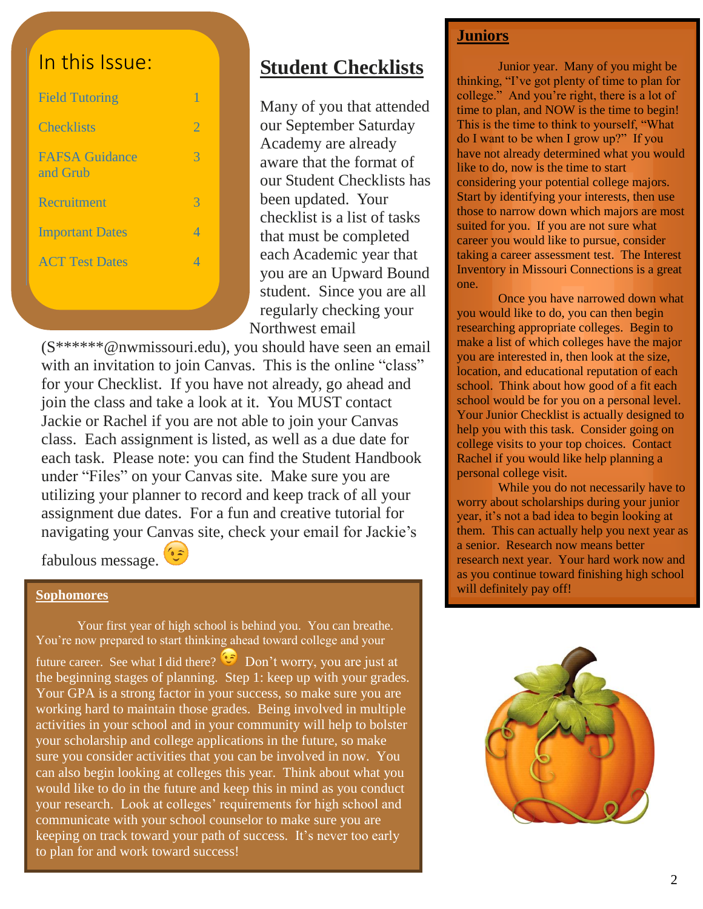# In this Issue:

| <b>Field Tutoring</b>             | 1              |
|-----------------------------------|----------------|
| <b>Checklists</b>                 | $\overline{2}$ |
| <b>FAFSA</b> Guidance<br>and Grub | 3              |
| Recruitment                       | 3              |
| <b>Important Dates</b>            | 4              |
| <b>ACT Test Dates</b>             | Δ              |
|                                   |                |

# **Student Checklists**

Many of you that attended our September Saturday Academy are already aware that the format of our Student Checklists has been updated. Your checklist is a list of tasks that must be completed each Academic year that you are an Upward Bound student. Since you are all regularly checking your Northwest email

(S\*\*\*\*\*\*@nwmissouri.edu), you should have seen an email with an invitation to join Canvas. This is the online "class" for your Checklist. If you have not already, go ahead and join the class and take a look at it. You MUST contact Jackie or Rachel if you are not able to join your Canvas class. Each assignment is listed, as well as a due date for each task. Please note: you can find the Student Handbook under "Files" on your Canvas site. Make sure you are utilizing your planner to record and keep track of all your assignment due dates. For a fun and creative tutorial for navigating your Canvas site, check your email for Jackie's

fabulous message.

#### **Sophomores**

Your first year of high school is behind you. You can breathe. You're now prepared to start thinking ahead toward college and your future career. See what I did there?  $\overline{\mathbb{C}}$  Don't worry, you are just at the beginning stages of planning. Step 1: keep up with your grades. Your GPA is a strong factor in your success, so make sure you are working hard to maintain those grades. Being involved in multiple activities in your school and in your community will help to bolster your scholarship and college applications in the future, so make sure you consider activities that you can be involved in now. You can also begin looking at colleges this year. Think about what you would like to do in the future and keep this in mind as you conduct your research. Look at colleges' requirements for high school and communicate with your school counselor to make sure you are keeping on track toward your path of success. It's never too early to plan for and work toward success!

## **Juniors**

Junior year. Many of you might be thinking, "I've got plenty of time to plan for college." And you're right, there is a lot of time to plan, and NOW is the time to begin! This is the time to think to yourself, "What do I want to be when I grow up?" If you have not already determined what you would like to do, now is the time to start considering your potential college majors. Start by identifying your interests, then use those to narrow down which majors are most suited for you. If you are not sure what career you would like to pursue, consider taking a career assessment test. The Interest Inventory in Missouri Connections is a great one.

Once you have narrowed down what you would like to do, you can then begin researching appropriate colleges. Begin to make a list of which colleges have the major you are interested in, then look at the size, location, and educational reputation of each school. Think about how good of a fit each school would be for you on a personal level. Your Junior Checklist is actually designed to help you with this task. Consider going on college visits to your top choices. Contact Rachel if you would like help planning a personal college visit.

While you do not necessarily have to worry about scholarships during your junior year, it's not a bad idea to begin looking at them. This can actually help you next year as a senior. Research now means better research next year. Your hard work now and as you continue toward finishing high school will definitely pay off!

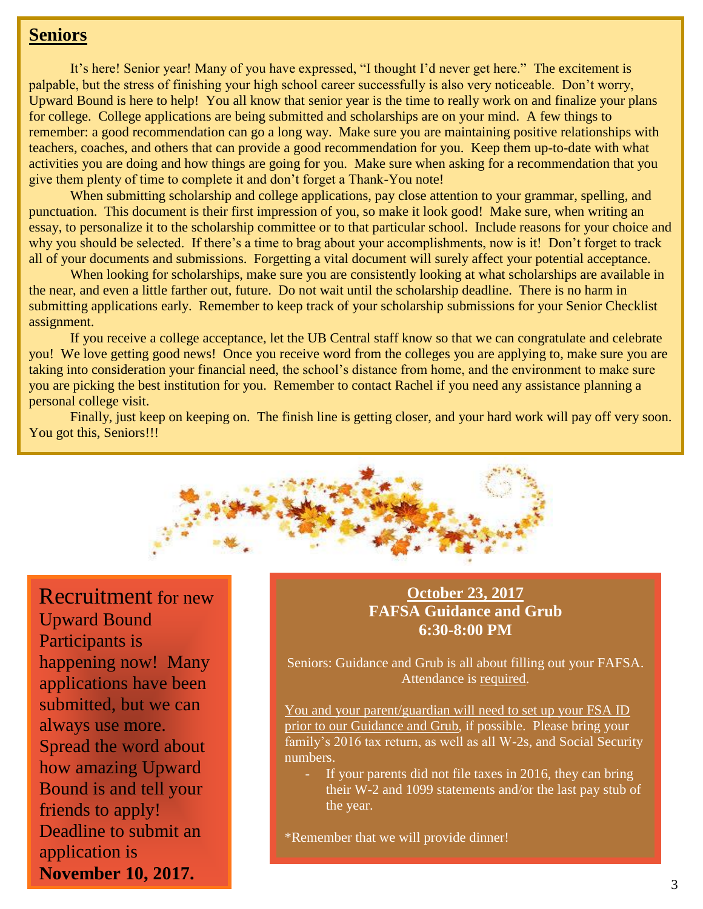## **Seniors**

It's here! Senior year! Many of you have expressed, "I thought I'd never get here." The excitement is palpable, but the stress of finishing your high school career successfully is also very noticeable. Don't worry, Upward Bound is here to help! You all know that senior year is the time to really work on and finalize your plans for college. College applications are being submitted and scholarships are on your mind. A few things to remember: a good recommendation can go a long way. Make sure you are maintaining positive relationships with teachers, coaches, and others that can provide a good recommendation for you. Keep them up-to-date with what activities you are doing and how things are going for you. Make sure when asking for a recommendation that you give them plenty of time to complete it and don't forget a Thank-You note!

When submitting scholarship and college applications, pay close attention to your grammar, spelling, and punctuation. This document is their first impression of you, so make it look good! Make sure, when writing an essay, to personalize it to the scholarship committee or to that particular school. Include reasons for your choice and why you should be selected. If there's a time to brag about your accomplishments, now is it! Don't forget to track all of your documents and submissions. Forgetting a vital document will surely affect your potential acceptance.

When looking for scholarships, make sure you are consistently looking at what scholarships are available in the near, and even a little farther out, future. Do not wait until the scholarship deadline. There is no harm in submitting applications early. Remember to keep track of your scholarship submissions for your Senior Checklist assignment.

If you receive a college acceptance, let the UB Central staff know so that we can congratulate and celebrate you! We love getting good news! Once you receive word from the colleges you are applying to, make sure you are taking into consideration your financial need, the school's distance from home, and the environment to make sure you are picking the best institution for you. Remember to contact Rachel if you need any assistance planning a personal college visit.

Finally, just keep on keeping on. The finish line is getting closer, and your hard work will pay off very soon. You got this, Seniors!!!



Recruitment for new Upward Bound Participants is happening now! Many applications have been submitted, but we can always use more. Spread the word about how amazing Upward Bound is and tell your friends to apply! Deadline to submit an application is **November 10, 2017.**

## **October 23, 2017 FAFSA Guidance and Grub 6:30-8:00 PM**

Seniors: Guidance and Grub is all about filling out your FAFSA. Attendance is required.

You and your parent/guardian will need to set up your FSA ID prior to our Guidance and Grub, if possible. Please bring your family's 2016 tax return, as well as all W-2s, and Social Security numbers.

If your parents did not file taxes in 2016, they can bring their W-2 and 1099 statements and/or the last pay stub of the year.

\*Remember that we will provide dinner!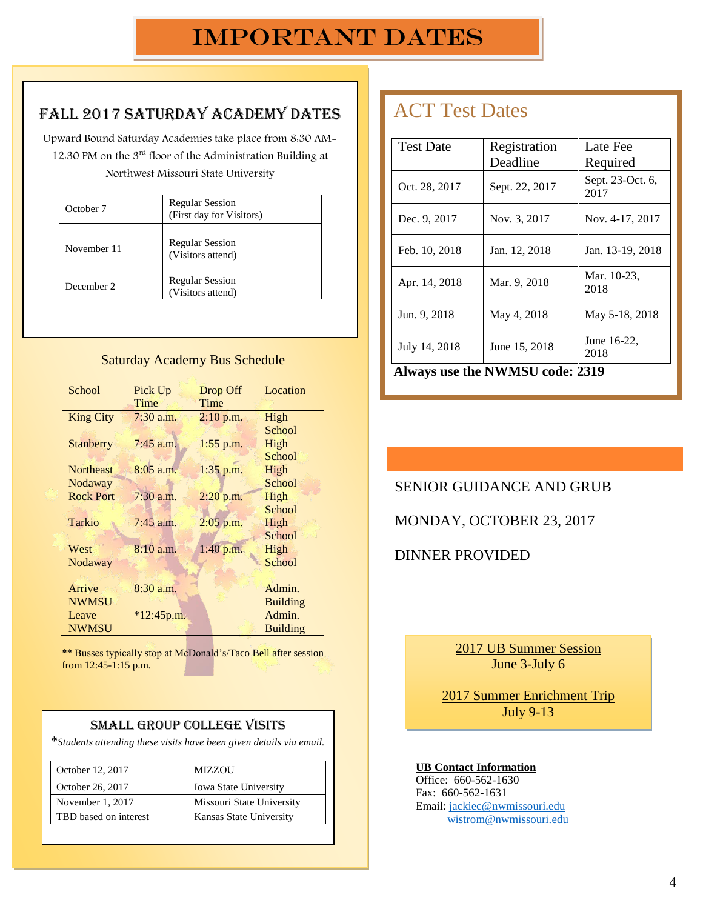## Fall 2017 Saturday Academy Dates

Upward Bound Saturday Academies take place from 8:30 AM-12:30 PM on the 3rd floor of the Administration Building at Northwest Missouri State University

| October 7   | <b>Regular Session</b><br>(First day for Visitors) |  |
|-------------|----------------------------------------------------|--|
| November 11 | <b>Regular Session</b><br>(Visitors attend)        |  |
| December 2  | <b>Regular Session</b><br>(Visitors attend)        |  |

#### Saturday Academy Bus Schedule

| School           | Pick Up      | Drop Off    | Location        |
|------------------|--------------|-------------|-----------------|
|                  | Time         | Time        |                 |
| <b>King City</b> | $7:30$ a.m.  | $2:10$ p.m. | High            |
|                  |              |             | School          |
| Stanberry        | $7:45$ a.m.  | $1:55$ p.m. | High            |
|                  |              |             | School          |
| <b>Northeast</b> | $8:05$ a.m.  | $1:35$ p.m. | High            |
| Nodaway          |              |             | School          |
| <b>Rock Port</b> | $7:30$ a.m.  | 2:20 p.m.   | High            |
|                  |              |             | School          |
| <b>Tarkio</b>    | $7:45$ a.m.  | 2:05 p.m.   | High            |
|                  |              |             | School          |
| West             | 8:10 a.m.    | 1:40 p.m.   | High            |
| Nodaway          |              |             | School          |
|                  |              |             |                 |
| Arrive           | $8:30$ a.m.  |             | Admin.          |
| <b>NWMSU</b>     |              |             | <b>Building</b> |
| Leave            | $*12:45p.m.$ |             | Admin.          |
| <b>NWMSU</b>     |              |             | <b>Building</b> |

\*\* Busses typically stop at McDonald's/Taco Bell after session from 12:45-1:15 p.m.

## Small Group College Visits

\**Students attending these visits have been given details via email.*

| October 12, 2017      | <b>MIZZOU</b>                |  |
|-----------------------|------------------------------|--|
| October 26, 2017      | <b>Iowa State University</b> |  |
| November 1, 2017      | Missouri State University    |  |
| TBD based on interest | Kansas State University      |  |

# ACT Test Dates

| <b>Test Date</b>                       | Registration   | Late Fee                 |  |  |
|----------------------------------------|----------------|--------------------------|--|--|
|                                        | Deadline       | Required                 |  |  |
| Oct. 28, 2017                          | Sept. 22, 2017 | Sept. 23-Oct. 6,<br>2017 |  |  |
| Dec. 9, 2017                           | Nov. 3, 2017   | Nov. 4-17, 2017          |  |  |
| Feb. 10, 2018                          | Jan. 12, 2018  | Jan. 13-19, 2018         |  |  |
| Apr. 14, 2018                          | Mar. 9, 2018   | Mar. 10-23,<br>2018      |  |  |
| Jun. 9, 2018                           | May 4, 2018    | May 5-18, 2018           |  |  |
| July 14, 2018                          | June 15, 2018  | June 16-22,<br>2018      |  |  |
| <b>Always use the NWMSU code: 2319</b> |                |                          |  |  |

 $\mathcal{L}^{\text{max}}(\mathcal{L}^{\text{max}})$  and  $\mathcal{L}^{\text{max}}(\mathcal{L}^{\text{max}})$  and  $\mathcal{L}^{\text{max}}(\mathcal{L}^{\text{max}})$ 

SENIOR GUIDANCE AND GRUB

MONDAY, OCTOBER 23, 2017

DINNER PROVIDED

2017 UB Summer Session June 3-July 6

2017 Summer Enrichment Trip July 9-13

#### **UB Contact Information**

Office: 660-562-1630 Fax: 660-562-1631 Email: [jackiec@nwmissouri.edu](mailto:jackiec@nwmissouri.edu) [wistrom@nwmissouri.edu](mailto:wistrom@nwmissouri.edu)